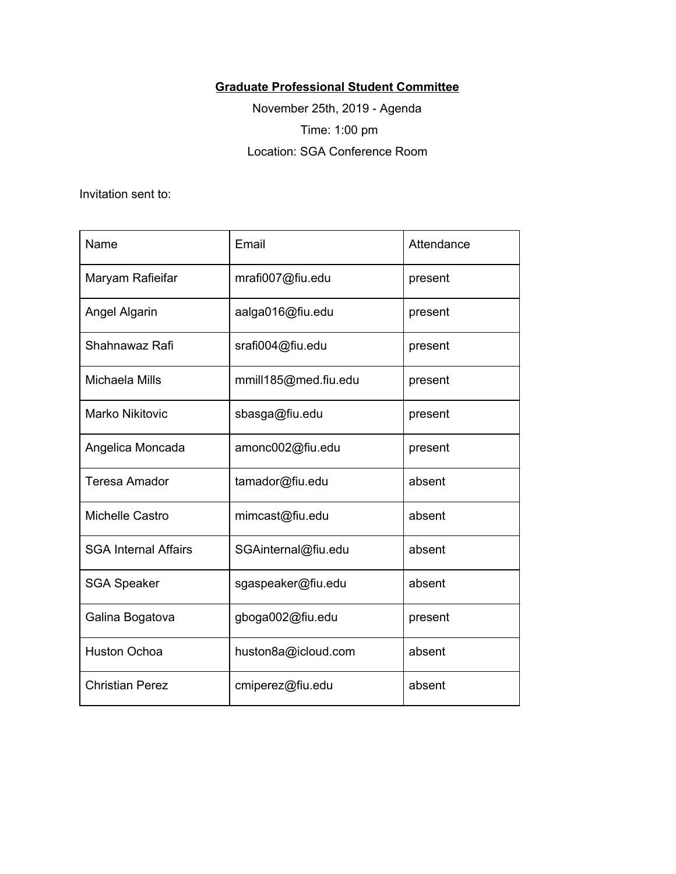## **Graduate Professional Student Committee**

November 25th, 2019 - Agenda Time: 1:00 pm Location: SGA Conference Room

Invitation sent to:

| Name                        | Email                | Attendance |
|-----------------------------|----------------------|------------|
| Maryam Rafieifar            | mrafi007@fiu.edu     | present    |
| Angel Algarin               | aalga016@fiu.edu     | present    |
| Shahnawaz Rafi              | srafi004@fiu.edu     | present    |
| Michaela Mills              | mmill185@med.fiu.edu | present    |
| <b>Marko Nikitovic</b>      | sbasga@fiu.edu       | present    |
| Angelica Moncada            | amonc002@fiu.edu     | present    |
| <b>Teresa Amador</b>        | tamador@fiu.edu      | absent     |
| Michelle Castro             | mimcast@fiu.edu      | absent     |
| <b>SGA Internal Affairs</b> | SGAinternal@fiu.edu  | absent     |
| <b>SGA Speaker</b>          | sgaspeaker@fiu.edu   | absent     |
| Galina Bogatova             | gboga002@fiu.edu     | present    |
| <b>Huston Ochoa</b>         | huston8a@icloud.com  | absent     |
| <b>Christian Perez</b>      | cmiperez@fiu.edu     | absent     |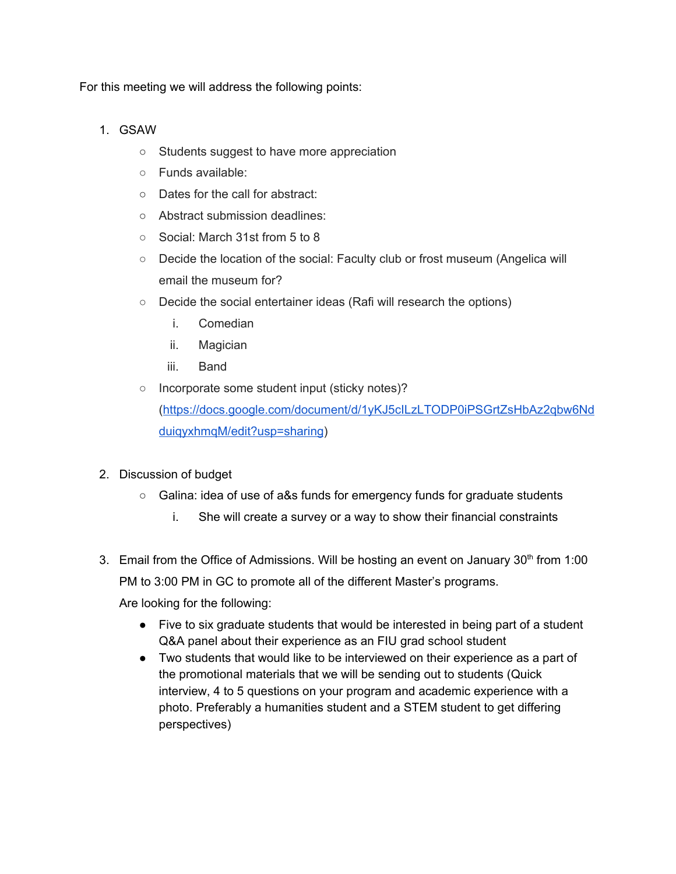For this meeting we will address the following points:

- 1. GSAW
	- Students suggest to have more appreciation
	- Funds available:
	- Dates for the call for abstract:
	- Abstract submission deadlines:
	- Social: March 31st from 5 to 8
	- Decide the location of the social: Faculty club or frost museum (Angelica will email the museum for?
	- Decide the social entertainer ideas (Rafi will research the options)
		- i. Comedian
		- ii. Magician
		- iii. Band
	- Incorporate some student input (sticky notes)? ([https://docs.google.com/document/d/1yKJ5cILzLTODP0iPSGrtZsHbAz2qbw6Nd](https://docs.google.com/document/d/1yKJ5cILzLTODP0iPSGrtZsHbAz2qbw6NdduiqyxhmqM/edit?usp=sharing) [duiqyxhmqM/edit?usp=sharing](https://docs.google.com/document/d/1yKJ5cILzLTODP0iPSGrtZsHbAz2qbw6NdduiqyxhmqM/edit?usp=sharing))
- 2. Discussion of budget
	- Galina: idea of use of a&s funds for emergency funds for graduate students
		- i. She will create a survey or a way to show their financial constraints
- 3. Email from the Office of Admissions. Will be hosting an event on January  $30<sup>th</sup>$  from 1:00 PM to 3:00 PM in GC to promote all of the different Master's programs.

Are looking for the following:

- Five to six graduate students that would be interested in being part of a student Q&A panel about their experience as an FIU grad school student
- Two students that would like to be interviewed on their experience as a part of the promotional materials that we will be sending out to students (Quick interview, 4 to 5 questions on your program and academic experience with a photo. Preferably a humanities student and a STEM student to get differing perspectives)